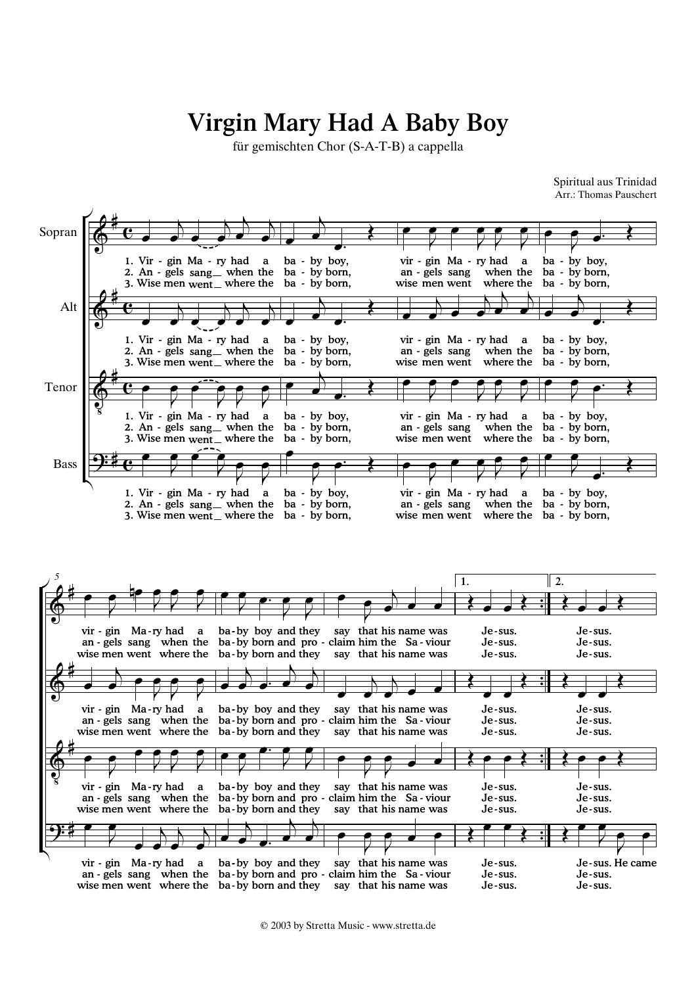## Virgin Mary Had A Baby Boy

für gemischten Chor (S-A-T-B) a cappella

Arr.: Thomas Pauschert Spiritual aus Trinidad